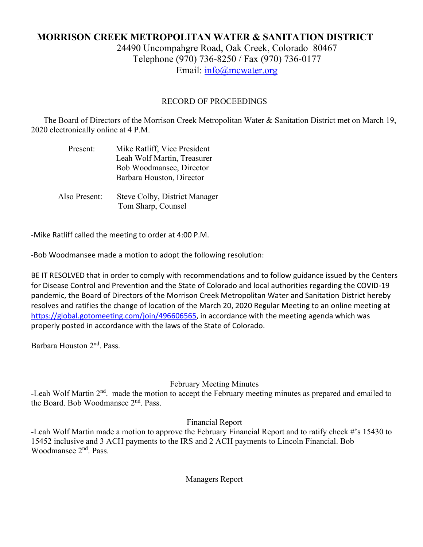# **MORRISON CREEK METROPOLITAN WATER & SANITATION DISTRICT** 24490 Uncompahgre Road, Oak Creek, Colorado 80467

Telephone (970) 736-8250 / Fax (970) 736-0177 Email: [info@mcwater.org](mailto:info@mcwater.org)

# RECORD OF PROCEEDINGS

 The Board of Directors of the Morrison Creek Metropolitan Water & Sanitation District met on March 19, 2020 electronically online at 4 P.M.

| Present: | Mike Ratliff, Vice President |
|----------|------------------------------|
|          | Leah Wolf Martin, Treasurer  |
|          | Bob Woodmansee, Director     |
|          | Barbara Houston, Director    |
|          |                              |

 Also Present: Steve Colby, District Manager Tom Sharp, Counsel

-Mike Ratliff called the meeting to order at 4:00 P.M.

-Bob Woodmansee made a motion to adopt the following resolution:

BE IT RESOLVED that in order to comply with recommendations and to follow guidance issued by the Centers for Disease Control and Prevention and the State of Colorado and local authorities regarding the COVID-19 pandemic, the Board of Directors of the Morrison Creek Metropolitan Water and Sanitation District hereby resolves and ratifies the change of location of the March 20, 2020 Regular Meeting to an online meeting at [https://global.gotomeeting.com/join/496606565,](https://global.gotomeeting.com/join/496606565) in accordance with the meeting agenda which was properly posted in accordance with the laws of the State of Colorado.

Barbara Houston 2nd. Pass.

# February Meeting Minutes

-Leah Wolf Martin 2<sup>nd</sup>. made the motion to accept the February meeting minutes as prepared and emailed to the Board. Bob Woodmansee  $2<sup>nd</sup>$ . Pass.

# Financial Report

-Leah Wolf Martin made a motion to approve the February Financial Report and to ratify check #'s 15430 to 15452 inclusive and 3 ACH payments to the IRS and 2 ACH payments to Lincoln Financial. Bob Woodmansee 2nd. Pass.

Managers Report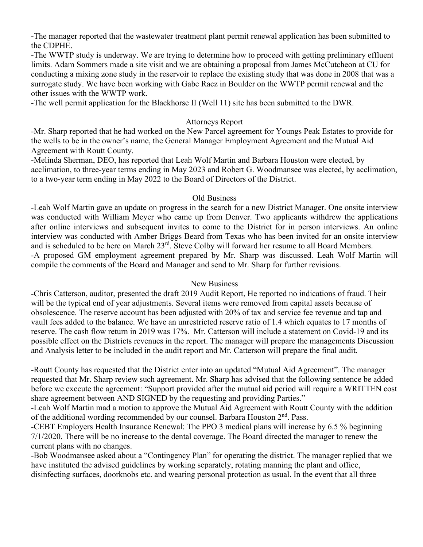-The manager reported that the wastewater treatment plant permit renewal application has been submitted to the CDPHE.

-The WWTP study is underway. We are trying to determine how to proceed with getting preliminary effluent limits. Adam Sommers made a site visit and we are obtaining a proposal from James McCutcheon at CU for conducting a mixing zone study in the reservoir to replace the existing study that was done in 2008 that was a surrogate study. We have been working with Gabe Racz in Boulder on the WWTP permit renewal and the other issues with the WWTP work.

-The well permit application for the Blackhorse II (Well 11) site has been submitted to the DWR.

#### Attorneys Report

-Mr. Sharp reported that he had worked on the New Parcel agreement for Youngs Peak Estates to provide for the wells to be in the owner's name, the General Manager Employment Agreement and the Mutual Aid Agreement with Routt County.

-Melinda Sherman, DEO, has reported that Leah Wolf Martin and Barbara Houston were elected, by acclimation, to three-year terms ending in May 2023 and Robert G. Woodmansee was elected, by acclimation, to a two-year term ending in May 2022 to the Board of Directors of the District.

#### Old Business

-Leah Wolf Martin gave an update on progress in the search for a new District Manager. One onsite interview was conducted with William Meyer who came up from Denver. Two applicants withdrew the applications after online interviews and subsequent invites to come to the District for in person interviews. An online interview was conducted with Amber Briggs Beard from Texas who has been invited for an onsite interview and is scheduled to be here on March 23<sup>rd</sup>. Steve Colby will forward her resume to all Board Members. -A proposed GM employment agreement prepared by Mr. Sharp was discussed. Leah Wolf Martin will compile the comments of the Board and Manager and send to Mr. Sharp for further revisions.

#### New Business

-Chris Catterson, auditor, presented the draft 2019 Audit Report, He reported no indications of fraud. Their will be the typical end of year adjustments. Several items were removed from capital assets because of obsolescence. The reserve account has been adjusted with 20% of tax and service fee revenue and tap and vault fees added to the balance. We have an unrestricted reserve ratio of 1.4 which equates to 17 months of reserve. The cash flow return in 2019 was 17%. Mr. Catterson will include a statement on Covid-19 and its possible effect on the Districts revenues in the report. The manager will prepare the managements Discussion and Analysis letter to be included in the audit report and Mr. Catterson will prepare the final audit.

-Routt County has requested that the District enter into an updated "Mutual Aid Agreement". The manager requested that Mr. Sharp review such agreement. Mr. Sharp has advised that the following sentence be added before we execute the agreement: "Support provided after the mutual aid period will require a WRITTEN cost share agreement between AND SIGNED by the requesting and providing Parties."

-Leah Wolf Martin mad a motion to approve the Mutual Aid Agreement with Routt County with the addition of the additional wording recommended by our counsel. Barbara Houston 2<sup>nd</sup>. Pass.

-CEBT Employers Health Insurance Renewal: The PPO 3 medical plans will increase by 6.5 % beginning 7/1/2020. There will be no increase to the dental coverage. The Board directed the manager to renew the current plans with no changes.

-Bob Woodmansee asked about a "Contingency Plan" for operating the district. The manager replied that we have instituted the advised guidelines by working separately, rotating manning the plant and office, disinfecting surfaces, doorknobs etc. and wearing personal protection as usual. In the event that all three